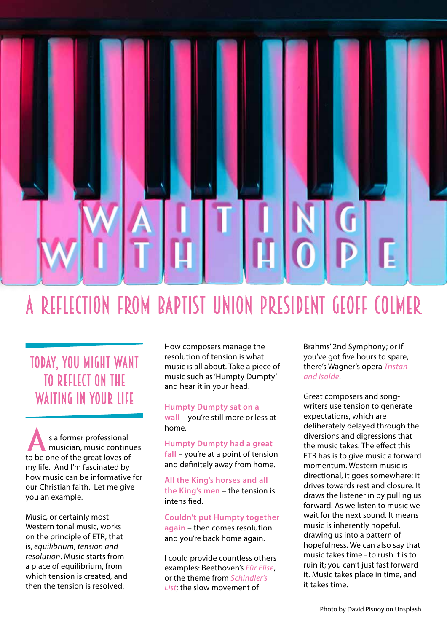## A reflection from Baptist Union President Geoff Colmer

## Today, you might want to reflect on the WAITING IN YOUR LIFE

s a former professional musician, music continues s a former professional<br>
musician, music continu<br>
to be one of the great loves of my life. And I'm fascinated by how music can be informative for our Christian faith. Let me give you an example.

Music, or certainly most Western tonal music, works on the principle of ETR; that is, *equilibrium*, *tension and resolution*. Music starts from a place of equilibrium, from which tension is created, and then the tension is resolved.

How composers manage the resolution of tension is what music is all about. Take a piece of music such as 'Humpty Dumpty' and hear it in your head.

## **Humpty Dumpty sat on a**

**wall** – you're still more or less at home.

**Humpty Dumpty had a great fall** – you're at a point of tension and definitely away from home.

**All the King's horses and all the King's men** – the tension is intensified.

**Couldn't put Humpty together again** – then comes resolution and you're back home again.

I could provide countless others examples: Beethoven's *Für Elise*, or the theme from *Schindler's List*; the slow movement of

Brahms' 2nd Symphony; or if you've got five hours to spare, there's Wagner's opera *Tristan and Isolde*!

Great composers and songwriters use tension to generate expectations, which are deliberately delayed through the diversions and digressions that the music takes. The effect this ETR has is to give music a forward momentum. Western music is directional, it goes somewhere; it drives towards rest and closure. It draws the listener in by pulling us forward. As we listen to music we wait for the next sound. It means music is inherently hopeful, drawing us into a pattern of hopefulness. We can also say that music takes time - to rush it is to ruin it; you can't just fast forward it. Music takes place in time, and it takes time.